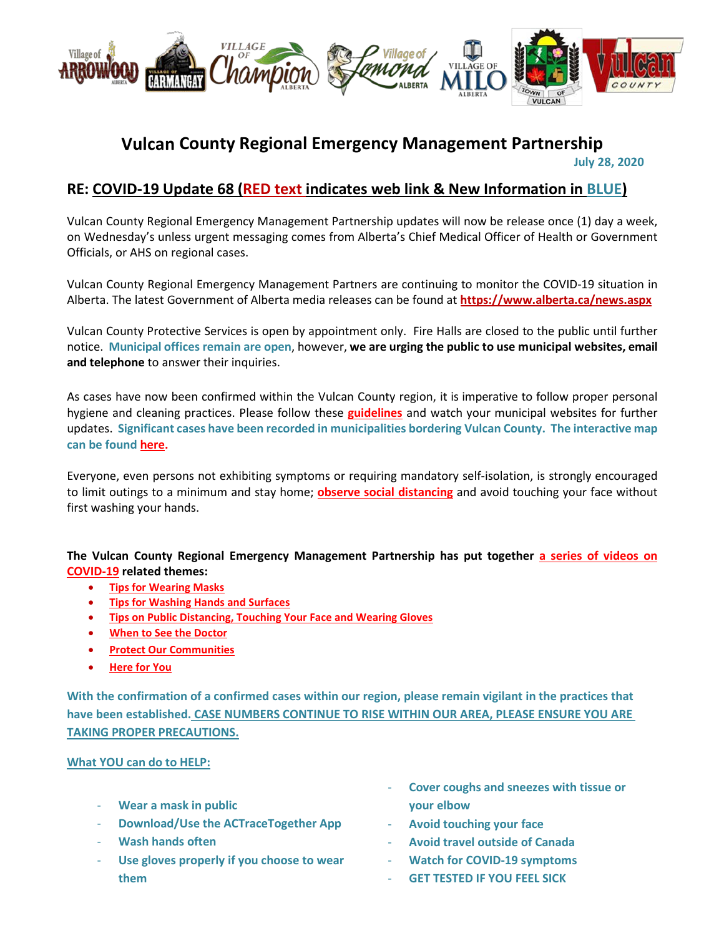

# **Vulcan County Regional Emergency Management Partnership July 28, 2020**

## **RE: COVID-19 Update 68 (RED text indicates web link & New Information in BLUE)**

Vulcan County Regional Emergency Management Partnership updates will now be release once (1) day a week, on Wednesday's unless urgent messaging comes from Alberta's Chief Medical Officer of Health or Government Officials, or AHS on regional cases.

Vulcan County Regional Emergency Management Partners are continuing to monitor the COVID-19 situation in Alberta. The latest Government of Alberta media releases can be found at **<https://www.alberta.ca/news.aspx>**

Vulcan County Protective Services is open by appointment only. Fire Halls are closed to the public until further notice. **Municipal offices remain are open**, however, **we are urging the public to use municipal websites, email and telephone** to answer their inquiries.

As cases have now been confirmed within the Vulcan County region, it is imperative to follow proper personal hygiene and cleaning practices. Please follow these **[guidelines](https://www.albertahealthservices.ca/topics/Page16997.aspx#sign)** and watch your municipal websites for further updates. **Significant cases have been recorded in municipalities bordering Vulcan County. The interactive map can be foun[d here.](https://www.alberta.ca/stats/covid-19-alberta-statistics.htm)**

Everyone, even persons not exhibiting symptoms or requiring mandatory self-isolation, is strongly encouraged to limit outings to a minimum and stay home; **[observe social distancing](https://www.albertahealthservices.ca/topics/Page17008.aspx)** and avoid touching your face without first washing your hands.

#### **The Vulcan County Regional Emergency Management Partnership has put together [a series of videos on](https://villageoflomond.ca/allremavideos/)  [COVID-19](https://villageoflomond.ca/allremavideos/) related themes:**

- **[Tips for Wearing Masks](https://youtu.be/mS2rSlOT2n0)**
- **[Tips for Washing Hands and Surfaces](https://youtu.be/pWpGo3uQe-4)**
- **[Tips on Public Distancing, Touching Your Face and Wearing Gloves](https://youtu.be/84qhhl06TII)**
- **[When to See the Doctor](https://youtu.be/raDnetqvEXk)**
- **[Protect Our Communities](https://www.youtube.com/watch?v=swS6GGn_iYg&feature=youtu.be)**
- **[Here for You](https://www.youtube.com/watch?v=QhxWFY7HuM4&feature=youtu.be)**

**With the confirmation of a confirmed cases within our region, please remain vigilant in the practices that have been established. CASE NUMBERS CONTINUE TO RISE WITHIN OUR AREA, PLEASE ENSURE YOU ARE TAKING PROPER PRECAUTIONS.**

#### **What YOU can do to HELP:**

- **Wear a mask in public**
- **Download/Use the ACTraceTogether App**
- **Wash hands often**
- Use gloves properly if you choose to wear **them**
- **Cover coughs and sneezes with tissue or your elbow**
- **Avoid touching your face**
- **Avoid travel outside of Canada**
- **Watch for COVID-19 symptoms**
- **GET TESTED IF YOU FEEL SICK**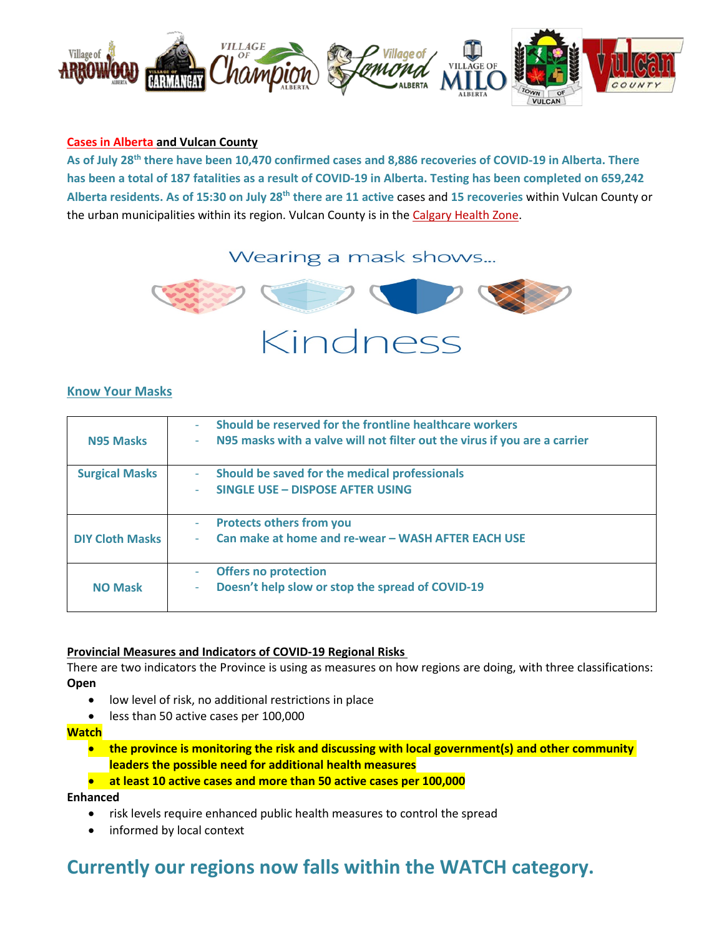

#### **[Cases in Alberta](https://covid19stats.alberta.ca/) and Vulcan County**

**As of July 28th there have been 10,470 confirmed cases and 8,886 recoveries of COVID-19 in Alberta. There has been a total of 187 fatalities as a result of COVID-19 in Alberta. Testing has been completed on 659,242 Alberta residents. As of 15:30 on July 28th there are 11 active** cases and **15 recoveries** within Vulcan County or the urban municipalities within its region. Vulcan County is in the [Calgary Health Zone.](https://www.albertahealthservices.ca/ahs-map-ahs-zones.pdf)

## Wearing a mask shows...



#### **Know Your Masks**

| <b>N95 Masks</b>       | Should be reserved for the frontline healthcare workers<br>N95 masks with a valve will not filter out the virus if you are a carrier<br>۰ |
|------------------------|-------------------------------------------------------------------------------------------------------------------------------------------|
| <b>Surgical Masks</b>  | Should be saved for the medical professionals<br>$\overline{\phantom{a}}$<br>SINGLE USE - DISPOSE AFTER USING<br>$\overline{\phantom{a}}$ |
| <b>DIY Cloth Masks</b> | <b>Protects others from you</b><br>÷<br>Can make at home and re-wear - WASH AFTER EACH USE<br>٠                                           |
| <b>NO Mask</b>         | <b>Offers no protection</b><br>Doesn't help slow or stop the spread of COVID-19<br>٠                                                      |

#### **Provincial Measures and Indicators of COVID-19 Regional Risks**

There are two indicators the Province is using as measures on how regions are doing, with three classifications: **Open**

- low level of risk, no additional restrictions in place
- less than 50 active cases per 100,000

#### **Watch**

• **the province is monitoring the risk and discussing with local government(s) and other community leaders the possible need for additional health measures**

#### • **at least 10 active cases and more than 50 active cases per 100,000**

**Enhanced**

- risk levels require enhanced public health measures to control the spread
- informed by local context

# **Currently our regions now falls within the WATCH category.**